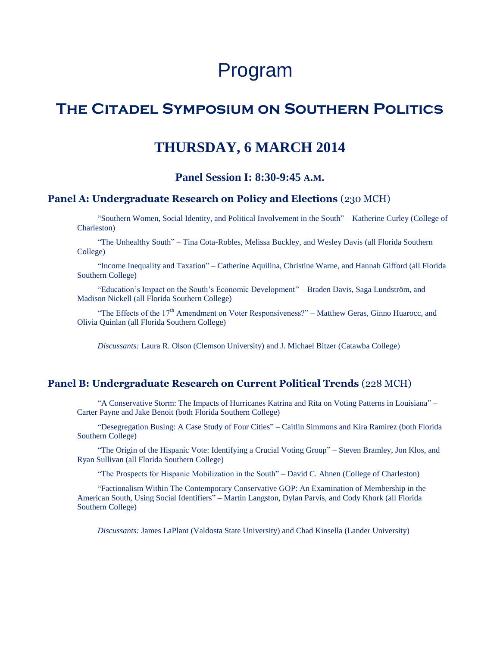# Program

# **The Citadel Symposium on Southern Politics**

# **THURSDAY, 6 MARCH 2014**

# **Panel Session I: 8:30-9:45 A.M.**

### **Panel A: Undergraduate Research on Policy and Elections** (230 MCH)

"Southern Women, Social Identity, and Political Involvement in the South" – Katherine Curley (College of Charleston)

"The Unhealthy South" – Tina Cota-Robles, Melissa Buckley, and Wesley Davis (all Florida Southern College)

"Income Inequality and Taxation" – Catherine Aquilina, Christine Warne, and Hannah Gifford (all Florida Southern College)

"Education's Impact on the South's Economic Development" – Braden Davis, Saga Lundström, and Madison Nickell (all Florida Southern College)

"The Effects of the 17<sup>th</sup> Amendment on Voter Responsiveness?" – Matthew Geras, Ginno Huarocc, and Olivia Quinlan (all Florida Southern College)

*Discussants:* Laura R. Olson (Clemson University) and J. Michael Bitzer (Catawba College)

#### **Panel B: Undergraduate Research on Current Political Trends** (228 MCH)

"A Conservative Storm: The Impacts of Hurricanes Katrina and Rita on Voting Patterns in Louisiana" – Carter Payne and Jake Benoit (both Florida Southern College)

"Desegregation Busing: A Case Study of Four Cities" – Caitlin Simmons and Kira Ramirez (both Florida Southern College)

"The Origin of the Hispanic Vote: Identifying a Crucial Voting Group" – Steven Bramley, Jon Klos, and Ryan Sullivan (all Florida Southern College)

"The Prospects for Hispanic Mobilization in the South" – David C. Ahnen (College of Charleston)

"Factionalism Within The Contemporary Conservative GOP: An Examination of Membership in the American South, Using Social Identifiers" – Martin Langston, Dylan Parvis, and Cody Khork (all Florida Southern College)

*Discussants:* James LaPlant (Valdosta State University) and Chad Kinsella (Lander University)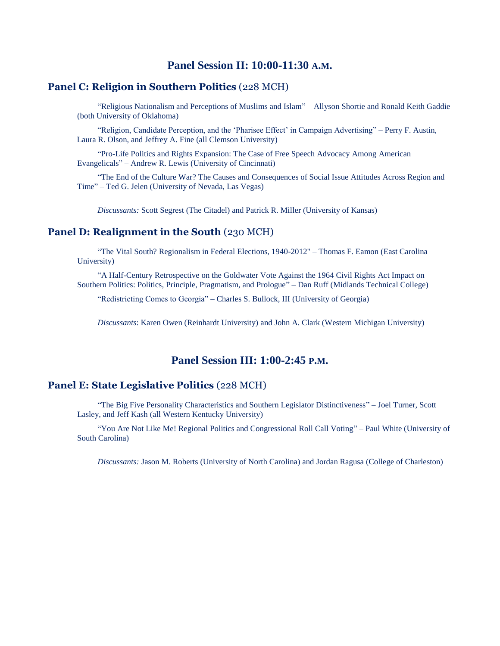# **Panel Session II: 10:00-11:30 A.M.**

# **Panel C: Religion in Southern Politics** (228 MCH)

"Religious Nationalism and Perceptions of Muslims and Islam" – Allyson Shortie and Ronald Keith Gaddie (both University of Oklahoma)

"Religion, Candidate Perception, and the 'Pharisee Effect' in Campaign Advertising" – Perry F. Austin, Laura R. Olson, and Jeffrey A. Fine (all Clemson University)

"Pro-Life Politics and Rights Expansion: The Case of Free Speech Advocacy Among American Evangelicals" – Andrew R. Lewis (University of Cincinnati)

"The End of the Culture War? The Causes and Consequences of Social Issue Attitudes Across Region and Time" – Ted G. Jelen (University of Nevada, Las Vegas)

*Discussants:* Scott Segrest (The Citadel) and Patrick R. Miller (University of Kansas)

#### **Panel D: Realignment in the South** (230 MCH)

"The Vital South? Regionalism in Federal Elections, 1940-2012" – Thomas F. Eamon (East Carolina University)

"A Half-Century Retrospective on the Goldwater Vote Against the 1964 Civil Rights Act Impact on Southern Politics: Politics, Principle, Pragmatism, and Prologue" – Dan Ruff (Midlands Technical College)

"Redistricting Comes to Georgia" – Charles S. Bullock, III (University of Georgia)

*Discussants*: Karen Owen (Reinhardt University) and John A. Clark (Western Michigan University)

# **Panel Session III: 1:00-2:45 P.M.**

### **Panel E: State Legislative Politics** (228 MCH)

"The Big Five Personality Characteristics and Southern Legislator Distinctiveness" – Joel Turner, Scott Lasley, and Jeff Kash (all Western Kentucky University)

"You Are Not Like Me! Regional Politics and Congressional Roll Call Voting" – Paul White (University of South Carolina)

*Discussants:* Jason M. Roberts (University of North Carolina) and Jordan Ragusa (College of Charleston)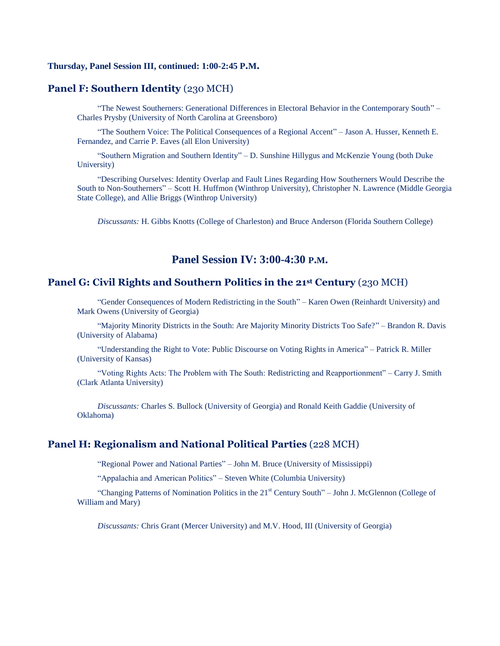#### **Thursday, Panel Session III, continued: 1:00-2:45 P.M.**

#### **Panel F: Southern Identity** (230 MCH)

"The Newest Southerners: Generational Differences in Electoral Behavior in the Contemporary South" – Charles Prysby (University of North Carolina at Greensboro)

"The Southern Voice: The Political Consequences of a Regional Accent" – Jason A. Husser, Kenneth E. Fernandez, and Carrie P. Eaves (all Elon University)

"Southern Migration and Southern Identity" – D. Sunshine Hillygus and McKenzie Young (both Duke University)

"Describing Ourselves: Identity Overlap and Fault Lines Regarding How Southerners Would Describe the South to Non-Southerners" – Scott H. Huffmon (Winthrop University), Christopher N. Lawrence (Middle Georgia State College), and Allie Briggs (Winthrop University)

*Discussants:* H. Gibbs Knotts (College of Charleston) and Bruce Anderson (Florida Southern College)

# **Panel Session IV: 3:00-4:30 P.M.**

### **Panel G: Civil Rights and Southern Politics in the 21st Century** (230 MCH)

"Gender Consequences of Modern Redistricting in the South" – Karen Owen (Reinhardt University) and Mark Owens (University of Georgia)

"Majority Minority Districts in the South: Are Majority Minority Districts Too Safe?" – Brandon R. Davis (University of Alabama)

"Understanding the Right to Vote: Public Discourse on Voting Rights in America" – Patrick R. Miller (University of Kansas)

"Voting Rights Acts: The Problem with The South: Redistricting and Reapportionment" – Carry J. Smith (Clark Atlanta University)

*Discussants:* Charles S. Bullock (University of Georgia) and Ronald Keith Gaddie (University of Oklahoma)

#### **Panel H: Regionalism and National Political Parties** (228 MCH)

"Regional Power and National Parties" – John M. Bruce (University of Mississippi)

"Appalachia and American Politics" – Steven White (Columbia University)

"Changing Patterns of Nomination Politics in the 21<sup>st</sup> Century South" – John J. McGlennon (College of William and Mary)

*Discussants:* Chris Grant (Mercer University) and M.V. Hood, III (University of Georgia)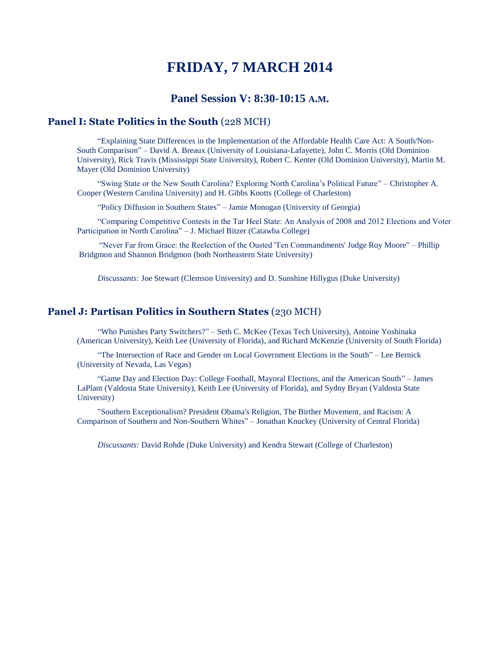# **FRIDAY, 7 MARCH 2014**

### **Panel Session V: 8:30-10:15 A.M.**

# **Panel I: State Politics in the South** (228 MCH)

"Explaining State Differences in the Implementation of the Affordable Health Care Act: A South/Non-South Comparison" – David A. Breaux (University of Louisiana-Lafayette), John C. Morris (Old Dominion University), Rick Travis (Mississippi State University), Robert C. Kenter (Old Dominion University), Martin M. Mayer (Old Dominion University)

"Swing State or the New South Carolina? Exploring North Carolina's Political Future" – Christopher A. Cooper (Western Carolina University) and H. Gibbs Knotts (College of Charleston)

"Policy Diffusion in Southern States" – Jamie Monogan (University of Georgia)

"Comparing Competitive Contests in the Tar Heel State: An Analysis of 2008 and 2012 Elections and Voter Participation in North Carolina" – J. Michael Bitzer (Catawba College)

"Never Far from Grace: the Reelection of the Ousted 'Ten Commandments' Judge Roy Moore" – Phillip Bridgmon and Shannon Bridgmon (both Northeastern State University)

*Discussants:* Joe Stewart (Clemson University) and D. Sunshine Hillygus (Duke University)

#### **Panel J: Partisan Politics in Southern States** (230 MCH)

"Who Punishes Party Switchers?" – Seth C. McKee (Texas Tech University), Antoine Yoshinaka (American University), Keith Lee (University of Florida), and Richard McKenzie (University of South Florida)

"The Intersection of Race and Gender on Local Government Elections in the South" – Lee Bernick (University of Nevada, Las Vegas)

"Game Day and Election Day: College Football, Mayoral Elections, and the American South" – James LaPlant (Valdosta State University), Keith Lee (University of Florida), and Sydny Bryan (Valdosta State University)

"Southern Exceptionalism? President Obama's Religion, The Birther Movement, and Racism: A Comparison of Southern and Non-Southern Whites" – Jonathan Knuckey (University of Central Florida)

*Discussants:* David Rohde (Duke University) and Kendra Stewart (College of Charleston)